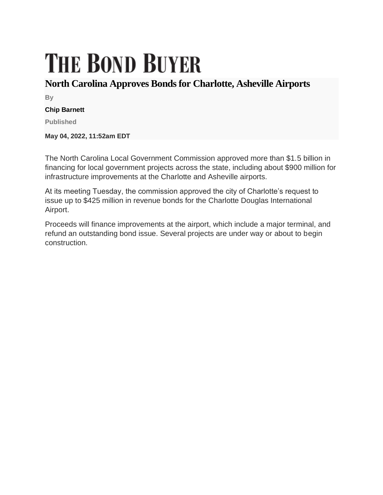## **THE BOND BUYER**

## **North Carolina Approves Bonds for Charlotte, Asheville Airports**

**By**

## **Chip Barnett**

**Published**

**May 04, 2022, 11:52am EDT**

The North Carolina Local Government Commission approved more than \$1.5 billion in financing for local government projects across the state, including about \$900 million for infrastructure improvements at the Charlotte and Asheville airports.

At its meeting Tuesday, the commission approved the city of Charlotte's request to issue up to \$425 million in revenue bonds for the Charlotte Douglas International Airport.

Proceeds will finance improvements at the airport, which include a major terminal, and refund an outstanding bond issue. Several projects are under way or about to begin construction.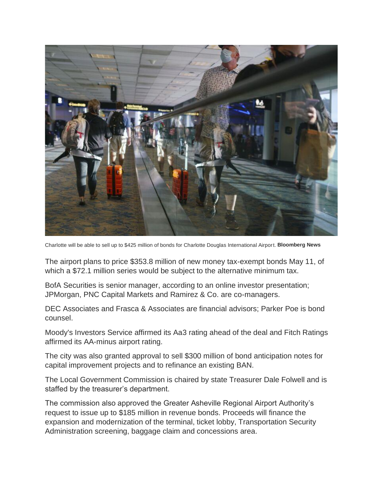

Charlotte will be able to sell up to \$425 million of bonds for Charlotte Douglas International Airport. **Bloomberg News**

The airport plans to price \$353.8 million of new money tax-exempt bonds May 11, of which a \$72.1 million series would be subject to the alternative minimum tax.

BofA Securities is senior manager, according to an online investor presentation; JPMorgan, PNC Capital Markets and Ramirez & Co. are co-managers.

DEC Associates and Frasca & Associates are financial advisors; Parker Poe is bond counsel.

Moody's Investors Service affirmed its Aa3 rating ahead of the deal and Fitch Ratings affirmed its AA-minus airport rating.

The city was also granted approval to sell \$300 million of bond anticipation notes for capital improvement projects and to refinance an existing BAN.

The Local Government Commission is chaired by state Treasurer Dale Folwell and is staffed by the treasurer's department.

The commission also approved the Greater Asheville Regional Airport Authority's request to issue up to \$185 million in revenue bonds. Proceeds will finance the expansion and modernization of the terminal, ticket lobby, Transportation Security Administration screening, baggage claim and concessions area.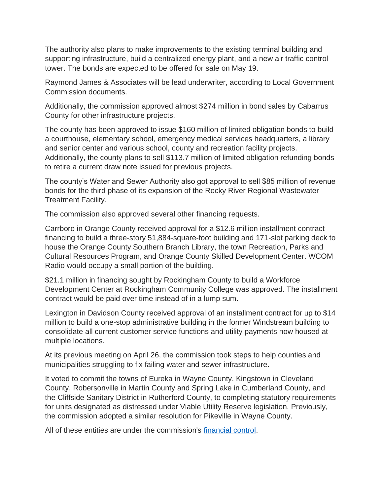The authority also plans to make improvements to the existing terminal building and supporting infrastructure, build a centralized energy plant, and a new air traffic control tower. The bonds are expected to be offered for sale on May 19.

Raymond James & Associates will be lead underwriter, according to Local Government Commission documents.

Additionally, the commission approved almost \$274 million in bond sales by Cabarrus County for other infrastructure projects.

The county has been approved to issue \$160 million of limited obligation bonds to build a courthouse, elementary school, emergency medical services headquarters, a library and senior center and various school, county and recreation facility projects. Additionally, the county plans to sell \$113.7 million of limited obligation refunding bonds to retire a current draw note issued for previous projects.

The county's Water and Sewer Authority also got approval to sell \$85 million of revenue bonds for the third phase of its expansion of the Rocky River Regional Wastewater Treatment Facility.

The commission also approved several other financing requests.

Carrboro in Orange County received approval for a \$12.6 million installment contract financing to build a three-story 51,884-square-foot building and 171-slot parking deck to house the Orange County Southern Branch Library, the town Recreation, Parks and Cultural Resources Program, and Orange County Skilled Development Center. WCOM Radio would occupy a small portion of the building.

\$21.1 million in financing sought by Rockingham County to build a Workforce Development Center at Rockingham Community College was approved. The installment contract would be paid over time instead of in a lump sum.

Lexington in Davidson County received approval of an installment contract for up to \$14 million to build a one-stop administrative building in the former Windstream building to consolidate all current customer service functions and utility payments now housed at multiple locations.

At its previous meeting on April 26, the commission took steps to help counties and municipalities struggling to fix failing water and sewer infrastructure.

It voted to commit the towns of Eureka in Wayne County, Kingstown in Cleveland County, Robersonville in Martin County and Spring Lake in Cumberland County, and the Cliffside Sanitary District in Rutherford County, to completing statutory requirements for units designated as distressed under Viable Utility Reserve legislation. Previously, the commission adopted a similar resolution for Pikeville in Wayne County.

All of these entities are under the commission's [financial control.](https://www.bondbuyer.com/news/north-carolina-law-grants-power-to-dissolve-troubled-municipalities)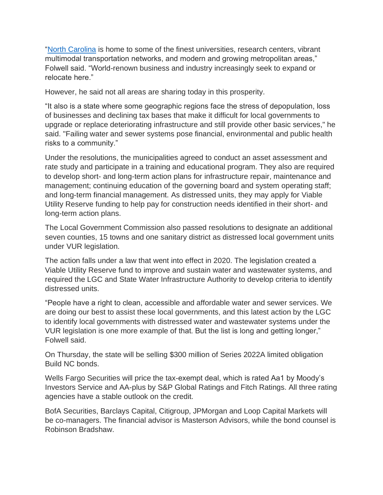"North [Carolina](https://www.bondbuyer.com/podcast/north-carolina-on-the-rise) is home to some of the finest universities, research centers, vibrant multimodal transportation networks, and modern and growing metropolitan areas," Folwell said. "World-renown business and industry increasingly seek to expand or relocate here."

However, he said not all areas are sharing today in this prosperity.

"It also is a state where some geographic regions face the stress of depopulation, loss of businesses and declining tax bases that make it difficult for local governments to upgrade or replace deteriorating infrastructure and still provide other basic services," he said. "Failing water and sewer systems pose financial, environmental and public health risks to a community."

Under the resolutions, the municipalities agreed to conduct an asset assessment and rate study and participate in a training and educational program. They also are required to develop short- and long-term action plans for infrastructure repair, maintenance and management; continuing education of the governing board and system operating staff; and long-term financial management. As distressed units, they may apply for Viable Utility Reserve funding to help pay for construction needs identified in their short- and long-term action plans.

The Local Government Commission also passed resolutions to designate an additional seven counties, 15 towns and one sanitary district as distressed local government units under VUR legislation.

The action falls under a law that went into effect in 2020. The legislation created a Viable Utility Reserve fund to improve and sustain water and wastewater systems, and required the LGC and State Water Infrastructure Authority to develop criteria to identify distressed units.

"People have a right to clean, accessible and affordable water and sewer services. We are doing our best to assist these local governments, and this latest action by the LGC to identify local governments with distressed water and wastewater systems under the VUR legislation is one more example of that. But the list is long and getting longer," Folwell said.

On Thursday, the state will be selling \$300 million of Series 2022A limited obligation Build NC bonds.

Wells Fargo Securities will price the tax-exempt deal, which is rated Aa1 by Moody's Investors Service and AA-plus by S&P Global Ratings and Fitch Ratings. All three rating agencies have a stable outlook on the credit.

BofA Securities, Barclays Capital, Citigroup, JPMorgan and Loop Capital Markets will be co-managers. The financial advisor is Masterson Advisors, while the bond counsel is Robinson Bradshaw.